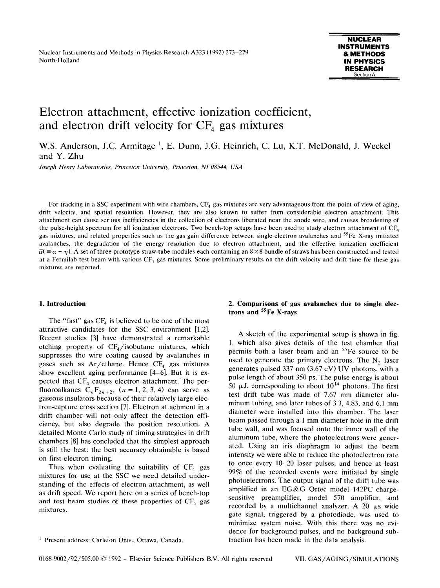# **Electron attachment, effective ionization coefficient,**  and electron drift velocity for CF<sub>4</sub> gas mixtures

W.S. Anderson, J.C. Armitage<sup>1</sup>, E. Dunn, J.G. Heinrich, C. Lu, K.T. McDonald, J. Weckel and Y. Zhu

*Joseph Henry Laboratories, Princeton Unirersity, Princeton, NJ 08544, USA* 

For tracking in a SSC experiment with wire chambers,  $CF_4$  gas mixtures are very advantageous from the point of view of aging, drift velocity, and spatial resolution. However, they are also known to suffer from considerable electron attachment. This attachment can cause serious inefficiencies in the collection of electrons liberated near the anode wire, and causes broadening of the pulse-height spectrum for all ionization electrons. Two bench-top setups have been used to study electron attachment of  $CF<sub>4</sub>$ gas mixtures, and related properties such as the gas gain difference between single-electron avalanches and  $55$ Fe X-ray initiated avalanches, the degradation of the energy resolution due to electron attachment, and the effective ionization coefficient  $\overline{\alpha}$ ( $\equiv \alpha - \eta$ ). A set of three prototype straw-tube modules each containing an 8×8 bundle of straws has been constructed and tested at a Fermilab test beam with various CF<sub>4</sub> gas mixtures. Some preliminary results on the drift velocity and drift time for these gas mixtures are reported.

#### **1. Introduction**

The "fast" gas  $CF_4$  is believed to be one of the most attractive candidates for the SSC environment [1,2]. Recent studies [3] have demonstrated a remarkable etching property of  $CF<sub>4</sub>/isobutane$  mixtures, which suppresses the wire coating caused by avalanches in gases such as  $Ar/ethane$ . Hence  $CF<sub>4</sub>$  gas mixtures show excellent aging performance [4-6]. But it is expected that  $CF_4$  causes electron attachment. The perfluoroalkanes  $C_nF_{2n+2}$ ,  $(n = 1, 2, 3, 4)$  can serve as gaseous insulators because of their relatively large electron-capture cross section [7]. Electron attachment in a drift chamber will not only affect the detection efficiency, but also degrade the position resolution. A detailed Monte Carlo study of timing strategies in drift chambers [8] has concluded that thc simplest approach is still the best: the best accuracy obtainable is based on first-electron timing.

Thus when evaluating the suitability of  $CF_4$  gas mixtures for use at the SSC we need detailed understanding of the effects of electron attachment, as well as drift speed. We report here on a series of bench-top and test beam studies of these properties of  $CF<sub>4</sub>$  gas mixtures.

# **2. Comparisons of gas avalanches due to single electrons and SSFe X-rays**

A sketch of the experimental setup is shown in fig. 1, which also gives details of the test chamber that permits both a laser beam and an <sup>55</sup>Fe source to be used to generate the primary electrons. The  $N_2$  laser generates pulsed 337 nm (3.67 cV) UV photons, with a pulse length of about 350 ps. The pulse energy is about 50  $\mu$ J, corresponding to about 10<sup>14</sup> photons. The first test drift tube was made of 7.67 mm diameter aluminum tubing, and later tubes of 3.3, 4.83, and 6.1 mm diameter were installed into this chamber. The laser beam passed through a 1 mm diameter hole in the drift tube wall, and was focused onto the inner wall of the aluminum tube, where the photoelectrons were generated. Using an iris diaphragm to adjust the beam intensity wc were able to reduce the photoelectron rate to once every 10-20 laser pulses, and hence at least 99% of the recorded events were initiated by single photoelectrons. The output signal of the drift tube was amplified in an EG&G Ortec model 142PC chargesensitive preamplifier, model 570 amplifier, and recorded by a multichannel analyzer. A 20  $\mu$ s wide gate signal, triggered by a photodiode, was used to minimize system noise. With this there was no evidence for background pulses, and no background subtraction has been made in the data analysis.

<sup>&</sup>lt;sup>1</sup> Present address: Carleton Univ., Ottawa, Canada.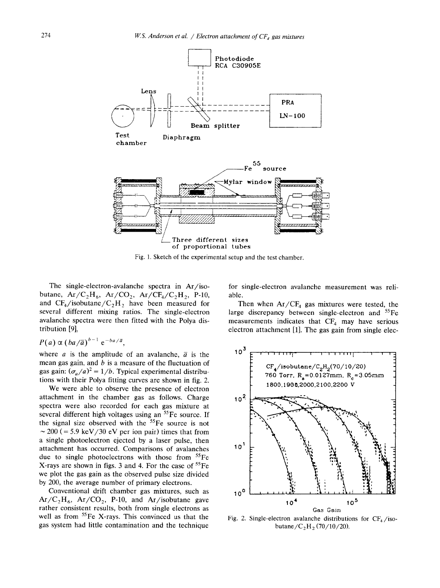

Fig. 1. Sketch of the experimental setup and the test chamber.

The single-electron-avalanche spectra in Ar/isobutane,  $Ar/C<sub>2</sub>H<sub>6</sub>$ ,  $Ar/CO<sub>2</sub>$ ,  $Ar/CF<sub>4</sub>/C<sub>2</sub>H<sub>2</sub>$ , P-10, and  $CF_4$ /isobutane/ $C_2H_2$  have been measured for several different mixing ratios. The single-electron avalanche spectra were then fitted with the Polya distribution [9],

$$
P(a) \propto (ba/\overline{a})^{b-1} e^{-ba/\overline{a}},
$$

where *a* is the amplitude of an avalanche,  $\overline{a}$  is the mean gas gain, and  $b$  is a measure of the fluctuation of gas gain:  $(\sigma_a/a)^2 = 1/b$ . Typical experimental distributions with their Polya fitting curves are shown in fig. 2.

We were able to observe the presence of electron attachment in the chamber gas as follows. Charge spectra were also recorded for each gas mixture at several different high voltages using an  ${}^{55}Fe$  source. If the signal size observed with the  $55Fe$  source is not  $\sim$  200 (= 5.9 keV/30 eV per ion pair) times that from a single photoelectron ejected by a laser pulse, then attachment has occurred. Comparisons of avalanches due to single photoelectrons with those from  ${}^{55}Fe$ X-rays are shown in figs. 3 and 4. For the case of  ${}^{55}Fe$ we plot the gas gain as the observed pulse size divided by 200, the average number of primary electrons.

Conventional drift chamber gas mixtures, such as  $Ar/C<sub>2</sub>H<sub>6</sub>$ ,  $Ar/CO<sub>2</sub>$ , P-10, and Ar/isobutane gave rather consistent results, both from single electrons as well as from <sup>55</sup>Fe X-rays. This convinced us that the gas system had little contamination and the technique for single-electron avalanche measurement was reliable.

Then when  $Ar/CF_4$  gas mixtures were tested, the large discrepancy between single-electron and  ${}^{55}Fe$ measurements indicates that  $CF_4$  may have serious electron attachment [1]. The gas gain from single elec-



Fig. 2. Single-electron avalanche distributions for  $CF<sub>4</sub>/iso$ butane/ $C_2H_2 (70/10/20)$ .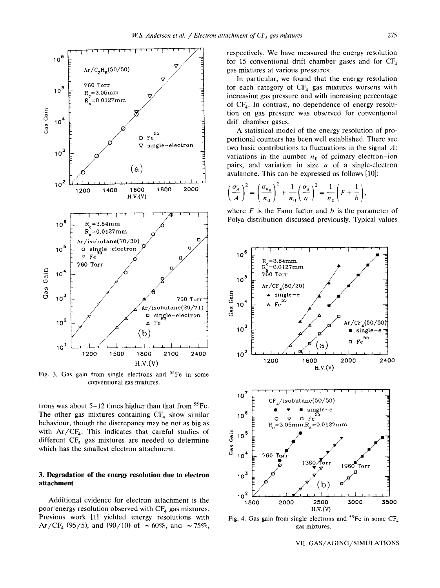

Fig. 3. Gas gain from single electrons and  $55$ Fe in some conventional gas mixtures.

trons was about  $5-12$  times higher than that from  ${}^{55}Fe$ . The other gas mixtures containing  $CF_4$  show similar behaviour, though the discrepancy may be not as big as with  $Ar/CF_4$ . This indicates that careful studies of different  $CF_4$  gas mixtures are needed to determine which has the smallest electron attachment.

## **3. Degradation of the energy resolution due to electron attachment**

Additional evidence for electron attachment is the poor energy resolution observed with  $CF_4$  gas mixtures. Previous work [1] yielded energy resolutions with Ar/CF<sub>4</sub> (95/5), and (90/10) of  $\sim 60\%$ , and  $\sim 75\%$ , respectively. We have measured the energy resolution for 15 conventional drift chamber gases and for  $CF<sub>4</sub>$ gas mixtures at various pressures.

In particular, we found that the energy resolution for each category of  $CF<sub>4</sub>$  gas mixtures worsens with increasing gas pressure and with increasing percentage of  $CF_4$ . In contrast, no dependence of energy resolution on gas pressure was observed for conventional drift chamber gases.

A statistical model of the energy resolution of proportional counters has been well established. There are two basic contributions to fluctuations in the signal  $A$ : variations in the number  $n_0$  of primary electron-ion pairs, and variation in size  $a$  of a single-electron avalanche. This can be expressed as follows [10]:

$$
\left(\frac{\sigma_A}{A}\right)^2 = \left(\frac{\sigma_{n_0}}{n_0}\right)^2 + \frac{1}{n_0}\left(\frac{\sigma_a}{a}\right)^2 = \frac{1}{n_0}\left(F + \frac{1}{b}\right),
$$

where  $F$  is the Fano factor and  $b$  is the parameter of Polya distribution discussed previously. Typical values



Fig. 4. Gas gain from single electrons and  ${}^{55}Fe$  in some CF<sub>4</sub> gas mixtures.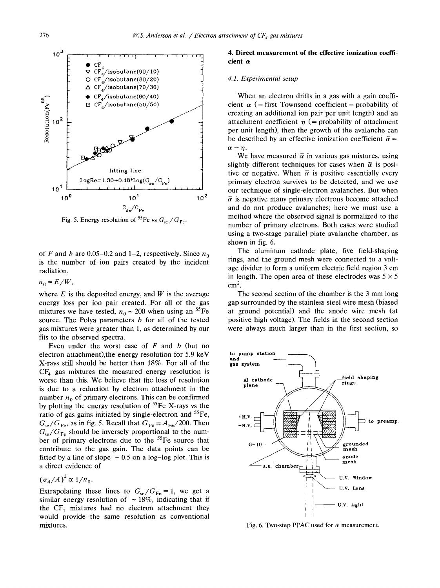

Fig. 5. Energy resolution of <sup>55</sup>Fe vs  $G_{\text{se}}/G_{\text{Fe}}$ .

of F and b are 0.05–0.2 and 1–2, respectively. Since  $n_0$ is the number of ion pairs created by the incident radiation,

 $n_0 = E/W$ ,

where  $E$  is the deposited energy, and  $W$  is the average energy loss per ion pair created. For all of the gas mixtures we have tested,  $n_0 \sim 200$  when using an <sup>55</sup>Fe source. The Polya parameters  $b$  for all of the tested gas mixtures were greater than 1, as determined by our fits to the observed spectra.

Even under the worst case of  $F$  and  $b$  (but no electron attachment),the energy resolution for 5.9 keV X-rays still should be better than 18%. For all of the  $CF<sub>4</sub>$  gas mixtures the measured energy resolution is worse than this. We believe that the loss of resolution is due to a reduction by electron attachment in the number  $n_0$  of primary electrons. This can be confirmed by plotting the energy resolution of  ${}^{55}Fe$  X-rays vs the ratio of gas gains initiated by single-electron and  ${}^{55}Fe$ ,  $G_{se}/G_{Fe}$ , as in fig. 5. Recall that  $G_{Fe} \equiv A_{Fe}/200$ . Then  $G_{\rm se}/G_{\rm Fe}$  should be inversely proportional to the number of primary electrons due to the <sup>55</sup>Fe source that contribute to the gas gain. The data points can be fitted by a line of slope  $\sim 0.5$  on a log-log plot. This is a direct evidence of

$$
(\sigma_A/A)^2 \propto 1/n_0.
$$

Extrapolating these lines to  $G_{se}/G_{Fe} = 1$ , we get a similar energy resolution of  $\sim 18\%$ , indicating that if the  $CF_4$  mixtures had no electron attachment they would provide the same resolution as conventional mixtures.

## **4. Direct measurement of the effective ionization coeffi**cient  $\bar{\alpha}$

## *4.1. Experimental setup*

When an electron drifts in a gas with a gain coefficient  $\alpha$  (= first Townsend coefficient = probability of creating an additional ion pair per unit length) and an attachment coefficient  $\eta$  (= probability of attachment per unit length), then the growth of the avalanche can be described by an effective ionization coefficient  $\bar{\alpha} =$  $\alpha - \eta$ .

We have measured  $\overline{\alpha}$  in various gas mixtures, using slightly different techniques for cases when  $\bar{\alpha}$  is positive or negative. When  $\bar{\alpha}$  is positive essentially every primary electron survives to be detected, and we use our technique of single-electron avalanches. But when  $\overline{\alpha}$  is negative many primary electrons become attached and do not produce avalanches; here we must use a method where the observed signal is normalized to the number of primary electrons. Both cases were studied using a two-stage parallel plate avalanche chamber, as shown in fig. 6.

The aluminum cathode plate, five field-shaping rings, and the ground mesh were connected to a voltage divider to form a uniform electric field region 3 cm in length. The open area of these electrodes was  $5 \times 5$  $cm<sup>2</sup>$ .

The second section of the chamber is the 3 mm long gap surrounded by the stainless steel wire mesh (biased at ground potential) and the anode wire mesh (at positive high voltage). The fields in the second section were always much larger than in the first section, so



Fig. 6. Two-step PPAC used for  $\bar{\alpha}$  measurement.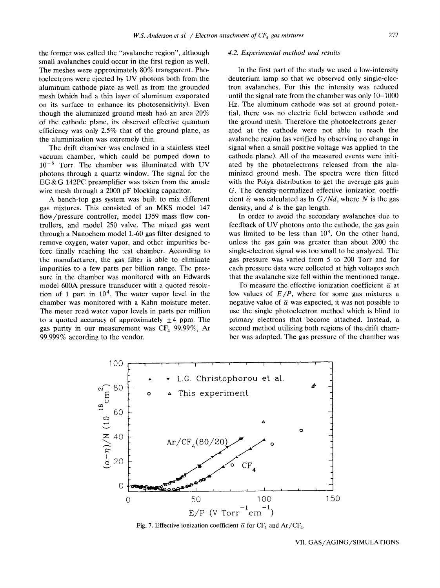the former was called the "avalanche region", although small avalanches could occur in the first region as well. The meshes were approximately 80% transparent. Photoelectrons were ejected by UV photons both from the aluminum cathode plate as well as from the grounded mesh (which had a thin layer of aluminum evaporated on its surface to enhance its photosensitivity). Even though the aluminized ground mesh had an area 20% of the cathode plane, its observed effective quantum efficiency was only 2.5% that of the ground plane, as the aluminization was extremely thin.

The drift chamber was enclosed in a stainless steel vacuum chamber, which could be pumped down to  $10^{-6}$  Torr. The chamber was illuminated with UV photons through a quartz window. The signal for the EG&G 142PC preamplifier was taken from the anode wire mesh through a 2000 pF blocking capacitor.

A bench-top gas system was built to mix different gas mixtures. This consisted of an MKS model 147 flow/pressure controller, model 1359 mass flow controllers, and model 250 valve. The mixed gas went through a Nanochem model L-60 gas filter designed to remove oxygen, water vapor, and other impurities before finally reaching the test chamber. According to the manufacturer, the gas filter is able to eliminate impurities to a few parts per billion range. The pressure in the chamber was monitored with an Edwards model 600A pressure transducer with a quoted resolution of 1 part in  $10<sup>4</sup>$ . The water vapor level in the chamber was monitored with a Kahn moisture meter. The meter read water vapor levels in parts per million to a quoted accuracy of approximately  $\pm 4$  ppm. The gas purity in our measurement was  $CF_4$  99.99%, Ar 99.999% according to the vendor.

#### *4.2. Experimental method and results*

In the first part of the study we used a low-intensity deuterium lamp so that we observed only single-electron avalanches. For this the intensity was reduced until the signal rate from the chamber was only 10-1000 Hz. The aluminum cathode was set at ground potential, there was no electric field between cathode and the ground mesh. Therefore the photoelectrons generated at the cathode were not able to reach the avalanche region (as verified by observing no change in signal when a small positive voltage was applied to the cathode plane). All of the measured events were initiated by the photoelectrons released from the aluminized ground mesh. The spectra were then fitted with the Polya distribution to get the average gas gain G. The density-normalized effective ionization coefficient  $\bar{\alpha}$  was calculated as ln *G/Nd*, where N is the gas density, and  $d$  is the gap length.

In order to avoid the secondary avalanches due to feedback of UV photons onto the cathode, the gas gain was limited to be less than  $10<sup>4</sup>$ . On the other hand, unless the gas gain was greater than about 2000 the single-electron signal was too small to be analyzed. The gas pressure was varied from 5 to 200 Torr and for each pressure data were collected at high voltages such that the avalanche size fell within the mentioned range.

To measure the effective ionization coefficient  $\bar{\alpha}$  at low values of *E/P,* where for some gas mixtures a negative value of  $\bar{\alpha}$  was expected, it was not possible to use the single photoelectron method which is blind to primary electrons that become attached. Instead, a second method utilizing both regions of the drift chamber was adopted. The gas pressure of the chamber was



Fig. 7. Effective ionization coefficient  $\bar{\alpha}$  for CF<sub>4</sub> and Ar/CF<sub>4</sub>.

VII. GAS/AGING/SIMULATIONS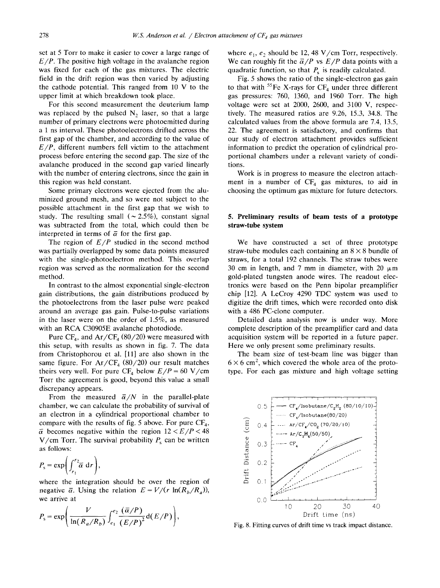set at 5 Torr to make it easier to cover a large range of  $E/P$ . The positive high voltage in the avalanche region was fixed for each of the gas mixtures. The electric field in the drift region was then varied by adjusting the cathode potential. This ranged from 10 V to the upper limit at which breakdown took place.

For this second measurement the deuterium lamp was replaced by the pulsed  $N_2$  laser, so that a large number of primary electrons were photoemitted during a 1 ns interval. These photoelectrons drifted across the first gap of the chamber, and according to the value of *E/P,* different numbers fell victim to the attachment process before entering the second gap. The size of the avalanche produced in the second gap varied linearly with the number of entering electrons, since the gain in this region was held constant.

Some primary electrons were ejected from the aluminized ground mesh, and so were not subject to the possible attachment in the first gap that we wish to study. The resulting small ( $\sim$  2.5%), constant signal was subtracted from the total, which could then be interpreted in terms of  $\bar{\alpha}$  for the first gap.

The region of  $E/P$  studied in the second method was partially overlapped by some data points measured with the single-photoelectron method. This overlap region was served as the normalization for the second method.

In contrast to the almost exponential single-electron gain distributions, the gain distributions produced by the photoelectrons from the laser pulse were peaked around an average gas gain. Pulse-to-pulse variations in the laser were on the order of 1.5%, as measured with an RCA C30905E avalanche photodiode,

Pure  $CF_4$ , and  $Ar/CF_4$  (80/20) were measured with this setup, with results as shown in fig. 7. The data from Christophorou et al. [11] are also shown in the same figure. For  $Ar/CF<sub>4</sub>$  (80/20) our result matches theirs very well. For pure  $CF_4$  below  $E/P = 60$  V/cm Torr the agreement is good, beyond this value a small discrepancy appears.

From the measured  $\bar{\alpha}/N$  in the parallel-plate chamber, we can calculate the probability of survival of an electron in a cylindrical proportional chamber to compare with the results of fig. 5 above. For pure  $CF_4$ ,  $\bar{\alpha}$  becomes negative within the region  $12 < E/P < 48$ V/cm Torr. The survival probability  $P_s$  can be written as follows:

$$
P_{\rm s} = \exp\biggl(\int_{r_1}^{r_2} \overline{\alpha} \, \, \mathrm{d}r\biggr),
$$

where the integration should be over the region of negative  $\bar{\alpha}$ . Using the relation  $E = V/(r \ln(R_b/R_a))$ , we arrive at

$$
P_{\rm s} = \exp\left(\frac{V}{\ln(R_a/R_b)} \int_{e_1}^{e_2} \frac{(\overline{\alpha}/P)}{(E/P)^2} d(E/P)\right),\,
$$

where  $e_1$ ,  $e_2$  should be 12, 48 V/cm Torr, respectively. We can roughly fit the  $\frac{\bar{\alpha}}{P}$  vs  $\frac{E}{P}$  data points with a quadratic function, so that  $P<sub>s</sub>$  is readily calculated.

Fig. 5 shows the ratio of the single-electron gas gain to that with  ${}^{55}Fe$  X-rays for CF<sub>4</sub> under three different gas pressures: 760, 1360, and 1960 Torr. The high voltage were set at 2000, 2600, and 3100 V, respectively. The measured ratios are 9.26, 15.3, 34.8. The calculated values from the above formula are 7.4, 13.5, 22. The agreement is satisfactory, and confirms that our study of electron attachment provides sufficient information to predict the operation of cylindrical proportional chambers under a relevant variety of conditions.

Work is in progress to measure the electron attachment in a number of  $CF_4$  gas mixtures, to aid in choosing the optimum gas mixture for future detectors.

# **5. Preliminary results of beam tests of a prototype straw-tube system**

We have constructed a set of three prototype straw-tube modules each containing an  $8 \times 8$  bundle of straws, for a total 192 channels. The straw tubes were 30 cm in length, and 7 mm in diameter, with 20  $\mu$ m gold-plated tungsten anode wires. The readout electronics were based on the Penn bipolar preamplifier chip [12]. A LeCroy 4290 TDC system was used to digitize the drift times, which were recorded onto disk with a 486 PC-clone computer.

Detailed data analysis now is under way. More complete description of the preamplifier card and data acquisition system will be reported in a future paper. Here we only present some preliminary results.

The beam size of test-beam line was bigger than  $6 \times 6$  cm<sup>2</sup>, which covered the whole area of the prototype. For each gas mixture and high voltage setting



Fig. 8. Fitting curves of drift time vs track impact distance.